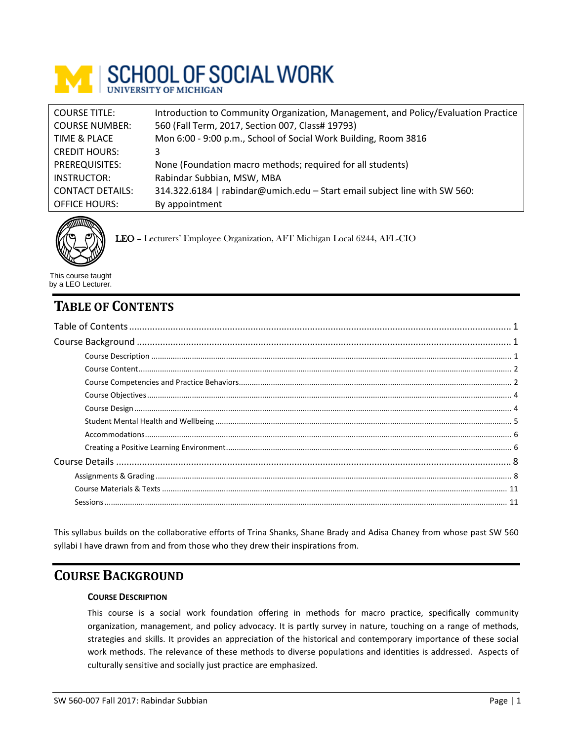

| <b>COURSE TITLE:</b>    | Introduction to Community Organization, Management, and Policy/Evaluation Practice |
|-------------------------|------------------------------------------------------------------------------------|
| <b>COURSE NUMBER:</b>   | 560 (Fall Term, 2017, Section 007, Class# 19793)                                   |
| TIME & PLACE            | Mon 6:00 - 9:00 p.m., School of Social Work Building, Room 3816                    |
| <b>CREDIT HOURS:</b>    | 3                                                                                  |
| PREREQUISITES:          | None (Foundation macro methods; required for all students)                         |
| INSTRUCTOR:             | Rabindar Subbian, MSW, MBA                                                         |
| <b>CONTACT DETAILS:</b> | 314.322.6184   rabindar@umich.edu - Start email subject line with SW 560:          |
| <b>OFFICE HOURS:</b>    | By appointment                                                                     |



LEO – Lecturers' Employee Organization, AFT Michigan Local 6244, AFL-CIO

This course taught by a LEO Lecturer.

# <span id="page-0-0"></span>**TABLE OF CONTENTS**

This syllabus builds on the collaborative efforts of Trina Shanks, Shane Brady and Adisa Chaney from whose past SW 560 syllabi I have drawn from and from those who they drew their inspirations from.

# <span id="page-0-2"></span><span id="page-0-1"></span>**COURSE BACKGROUND**

# **COURSE DESCRIPTION**

This course is a social work foundation offering in methods for macro practice, specifically community organization, management, and policy advocacy. It is partly survey in nature, touching on a range of methods, strategies and skills. It provides an appreciation of the historical and contemporary importance of these social work methods. The relevance of these methods to diverse populations and identities is addressed. Aspects of culturally sensitive and socially just practice are emphasized.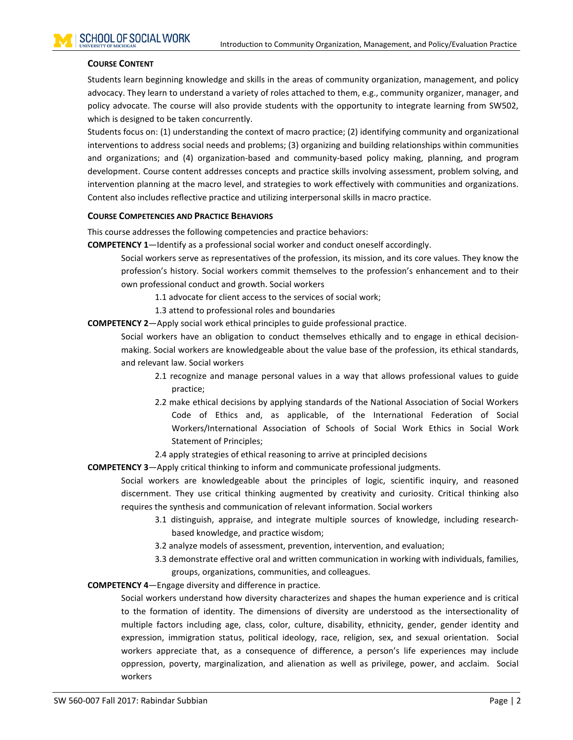### <span id="page-1-0"></span>**COURSE CONTENT**

Students learn beginning knowledge and skills in the areas of community organization, management, and policy advocacy. They learn to understand a variety of roles attached to them, e.g., community organizer, manager, and policy advocate. The course will also provide students with the opportunity to integrate learning from SW502, which is designed to be taken concurrently.

Students focus on: (1) understanding the context of macro practice; (2) identifying community and organizational interventions to address social needs and problems; (3) organizing and building relationships within communities and organizations; and (4) organization-based and community-based policy making, planning, and program development. Course content addresses concepts and practice skills involving assessment, problem solving, and intervention planning at the macro level, and strategies to work effectively with communities and organizations. Content also includes reflective practice and utilizing interpersonal skills in macro practice.

#### <span id="page-1-1"></span>**COURSE COMPETENCIES AND PRACTICE BEHAVIORS**

This course addresses the following competencies and practice behaviors:

**COMPETENCY 1**—Identify as a professional social worker and conduct oneself accordingly.

Social workers serve as representatives of the profession, its mission, and its core values. They know the profession's history. Social workers commit themselves to the profession's enhancement and to their own professional conduct and growth. Social workers

- 1.1 advocate for client access to the services of social work;
- 1.3 attend to professional roles and boundaries
- **COMPETENCY 2**—Apply social work ethical principles to guide professional practice.

Social workers have an obligation to conduct themselves ethically and to engage in ethical decisionmaking. Social workers are knowledgeable about the value base of the profession, its ethical standards, and relevant law. Social workers

- 2.1 recognize and manage personal values in a way that allows professional values to guide practice;
- 2.2 make ethical decisions by applying standards of the National Association of Social Workers Code of Ethics and, as applicable, of the International Federation of Social Workers/International Association of Schools of Social Work Ethics in Social Work Statement of Principles;
- 2.4 apply strategies of ethical reasoning to arrive at principled decisions
- **COMPETENCY 3**—Apply critical thinking to inform and communicate professional judgments.

Social workers are knowledgeable about the principles of logic, scientific inquiry, and reasoned discernment. They use critical thinking augmented by creativity and curiosity. Critical thinking also requires the synthesis and communication of relevant information. Social workers

- 3.1 distinguish, appraise, and integrate multiple sources of knowledge, including researchbased knowledge, and practice wisdom;
- 3.2 analyze models of assessment, prevention, intervention, and evaluation;
- 3.3 demonstrate effective oral and written communication in working with individuals, families, groups, organizations, communities, and colleagues.

**COMPETENCY 4**—Engage diversity and difference in practice.

Social workers understand how diversity characterizes and shapes the human experience and is critical to the formation of identity. The dimensions of diversity are understood as the intersectionality of multiple factors including age, class, color, culture, disability, ethnicity, gender, gender identity and expression, immigration status, political ideology, race, religion, sex, and sexual orientation. Social workers appreciate that, as a consequence of difference, a person's life experiences may include oppression, poverty, marginalization, and alienation as well as privilege, power, and acclaim. Social workers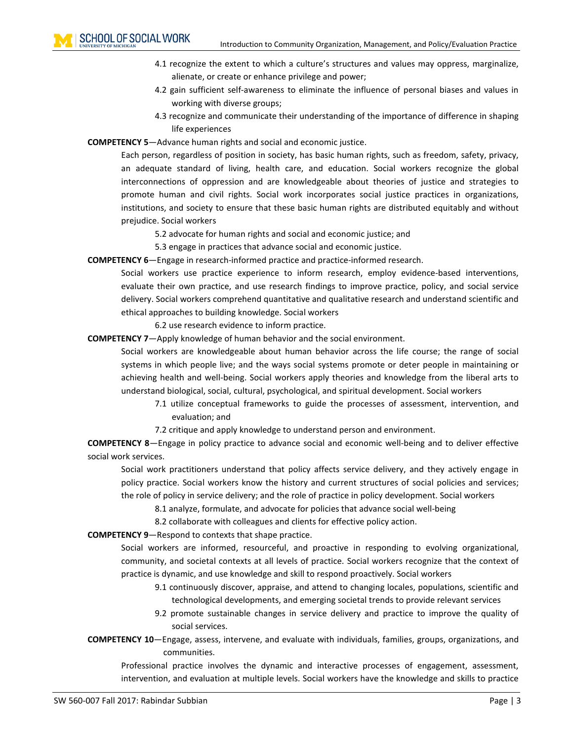- 4.1 recognize the extent to which a culture's structures and values may oppress, marginalize, alienate, or create or enhance privilege and power;
- 4.2 gain sufficient self-awareness to eliminate the influence of personal biases and values in working with diverse groups;
- 4.3 recognize and communicate their understanding of the importance of difference in shaping life experiences

**COMPETENCY 5**—Advance human rights and social and economic justice.

Each person, regardless of position in society, has basic human rights, such as freedom, safety, privacy, an adequate standard of living, health care, and education. Social workers recognize the global interconnections of oppression and are knowledgeable about theories of justice and strategies to promote human and civil rights. Social work incorporates social justice practices in organizations, institutions, and society to ensure that these basic human rights are distributed equitably and without prejudice. Social workers

5.2 advocate for human rights and social and economic justice; and

5.3 engage in practices that advance social and economic justice.

**COMPETENCY 6**—Engage in research-informed practice and practice-informed research.

Social workers use practice experience to inform research, employ evidence-based interventions, evaluate their own practice, and use research findings to improve practice, policy, and social service delivery. Social workers comprehend quantitative and qualitative research and understand scientific and ethical approaches to building knowledge. Social workers

6.2 use research evidence to inform practice.

**COMPETENCY 7**—Apply knowledge of human behavior and the social environment.

Social workers are knowledgeable about human behavior across the life course; the range of social systems in which people live; and the ways social systems promote or deter people in maintaining or achieving health and well-being. Social workers apply theories and knowledge from the liberal arts to understand biological, social, cultural, psychological, and spiritual development. Social workers

7.1 utilize conceptual frameworks to guide the processes of assessment, intervention, and evaluation; and

7.2 critique and apply knowledge to understand person and environment.

**COMPETENCY 8**—Engage in policy practice to advance social and economic well-being and to deliver effective social work services.

Social work practitioners understand that policy affects service delivery, and they actively engage in policy practice. Social workers know the history and current structures of social policies and services; the role of policy in service delivery; and the role of practice in policy development. Social workers

8.1 analyze, formulate, and advocate for policies that advance social well-being

8.2 collaborate with colleagues and clients for effective policy action.

**COMPETENCY 9**—Respond to contexts that shape practice.

Social workers are informed, resourceful, and proactive in responding to evolving organizational, community, and societal contexts at all levels of practice. Social workers recognize that the context of practice is dynamic, and use knowledge and skill to respond proactively. Social workers

- 9.1 continuously discover, appraise, and attend to changing locales, populations, scientific and technological developments, and emerging societal trends to provide relevant services
- 9.2 promote sustainable changes in service delivery and practice to improve the quality of social services.
- **COMPETENCY 10**—Engage, assess, intervene, and evaluate with individuals, families, groups, organizations, and communities.

Professional practice involves the dynamic and interactive processes of engagement, assessment, intervention, and evaluation at multiple levels. Social workers have the knowledge and skills to practice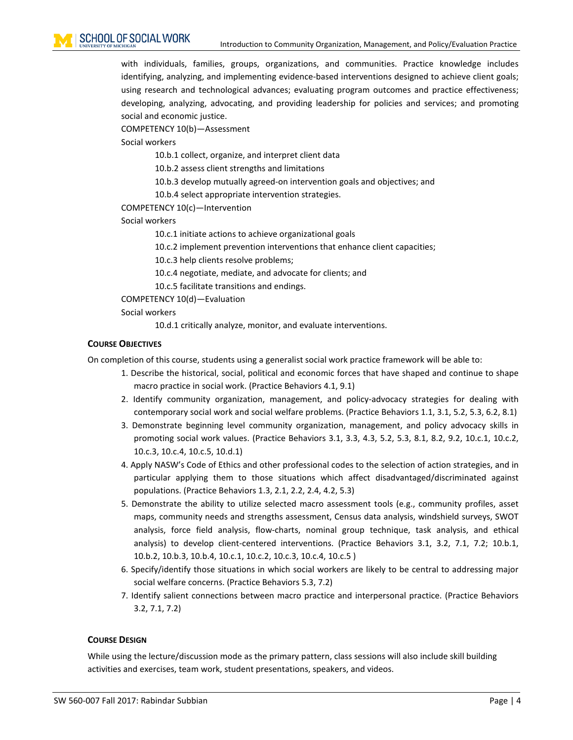with individuals, families, groups, organizations, and communities. Practice knowledge includes identifying, analyzing, and implementing evidence-based interventions designed to achieve client goals; using research and technological advances; evaluating program outcomes and practice effectiveness; developing, analyzing, advocating, and providing leadership for policies and services; and promoting social and economic justice.

COMPETENCY 10(b)—Assessment

Social workers

10.b.1 collect, organize, and interpret client data

10.b.2 assess client strengths and limitations

10.b.3 develop mutually agreed-on intervention goals and objectives; and

10.b.4 select appropriate intervention strategies.

COMPETENCY 10(c)—Intervention

Social workers

10.c.1 initiate actions to achieve organizational goals

10.c.2 implement prevention interventions that enhance client capacities;

10.c.3 help clients resolve problems;

10.c.4 negotiate, mediate, and advocate for clients; and

10.c.5 facilitate transitions and endings.

COMPETENCY 10(d)—Evaluation

Social workers

10.d.1 critically analyze, monitor, and evaluate interventions.

### <span id="page-3-0"></span>**COURSE OBJECTIVES**

On completion of this course, students using a generalist social work practice framework will be able to:

- 1. Describe the historical, social, political and economic forces that have shaped and continue to shape macro practice in social work. (Practice Behaviors 4.1, 9.1)
- 2. Identify community organization, management, and policy-advocacy strategies for dealing with contemporary social work and social welfare problems. (Practice Behaviors 1.1, 3.1, 5.2, 5.3, 6.2, 8.1)
- 3. Demonstrate beginning level community organization, management, and policy advocacy skills in promoting social work values. (Practice Behaviors 3.1, 3.3, 4.3, 5.2, 5.3, 8.1, 8.2, 9.2, 10.c.1, 10.c.2, 10.c.3, 10.c.4, 10.c.5, 10.d.1)
- 4. Apply NASW's Code of Ethics and other professional codes to the selection of action strategies, and in particular applying them to those situations which affect disadvantaged/discriminated against populations. (Practice Behaviors 1.3, 2.1, 2.2, 2.4, 4.2, 5.3)
- 5. Demonstrate the ability to utilize selected macro assessment tools (e.g., community profiles, asset maps, community needs and strengths assessment, Census data analysis, windshield surveys, SWOT analysis, force field analysis, flow-charts, nominal group technique, task analysis, and ethical analysis) to develop client-centered interventions. (Practice Behaviors 3.1, 3.2, 7.1, 7.2; 10.b.1, 10.b.2, 10.b.3, 10.b.4, 10.c.1, 10.c.2, 10.c.3, 10.c.4, 10.c.5 )
- 6. Specify/identify those situations in which social workers are likely to be central to addressing major social welfare concerns. (Practice Behaviors 5.3, 7.2)
- 7. Identify salient connections between macro practice and interpersonal practice. (Practice Behaviors 3.2, 7.1, 7.2)

### <span id="page-3-1"></span>**COURSE DESIGN**

While using the lecture/discussion mode as the primary pattern, class sessions will also include skill building activities and exercises, team work, student presentations, speakers, and videos.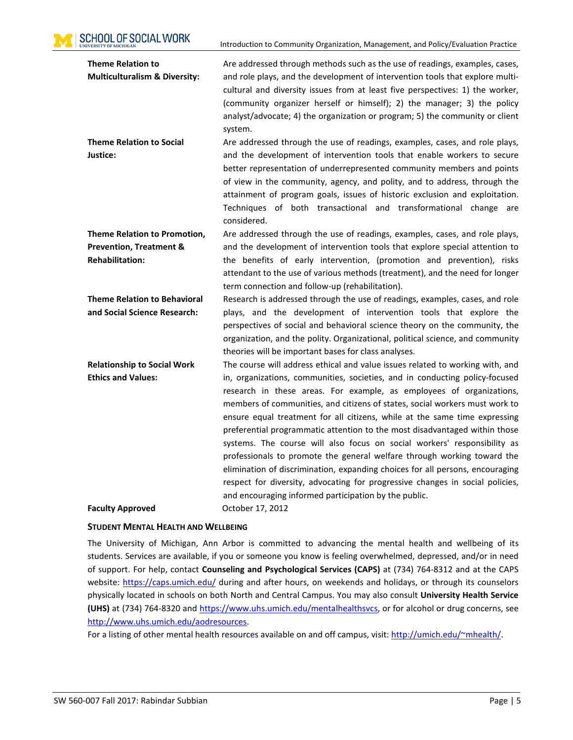**SCHOOL OF SOCIAL WORK** 

Introduction to Community Organization, Management, and Policy/Evaluation Practice

| <b>Theme Relation to</b>                 | Are addressed through methods such as the use of readings, examples, cases,    |
|------------------------------------------|--------------------------------------------------------------------------------|
| <b>Multiculturalism &amp; Diversity:</b> | and role plays, and the development of intervention tools that explore multi-  |
|                                          | cultural and diversity issues from at least five perspectives: 1) the worker,  |
|                                          | (community organizer herself or himself); 2) the manager; 3) the policy        |
|                                          | analyst/advocate; 4) the organization or program; 5) the community or client   |
|                                          | system.                                                                        |
| <b>Theme Relation to Social</b>          | Are addressed through the use of readings, examples, cases, and role plays,    |
| Justice:                                 | and the development of intervention tools that enable workers to secure        |
|                                          | better representation of underrepresented community members and points         |
|                                          | of view in the community, agency, and polity, and to address, through the      |
|                                          | attainment of program goals, issues of historic exclusion and exploitation.    |
|                                          | Techniques of both transactional and transformational change are               |
|                                          | considered.                                                                    |
| Theme Relation to Promotion,             | Are addressed through the use of readings, examples, cases, and role plays,    |
| <b>Prevention, Treatment &amp;</b>       | and the development of intervention tools that explore special attention to    |
| <b>Rehabilitation:</b>                   | the benefits of early intervention, (promotion and prevention), risks          |
|                                          | attendant to the use of various methods (treatment), and the need for longer   |
|                                          | term connection and follow-up (rehabilitation).                                |
| <b>Theme Relation to Behavioral</b>      | Research is addressed through the use of readings, examples, cases, and role   |
| and Social Science Research:             | plays, and the development of intervention tools that explore the              |
|                                          | perspectives of social and behavioral science theory on the community, the     |
|                                          | organization, and the polity. Organizational, political science, and community |
|                                          | theories will be important bases for class analyses.                           |
| <b>Relationship to Social Work</b>       | The course will address ethical and value issues related to working with, and  |
| <b>Ethics and Values:</b>                | in, organizations, communities, societies, and in conducting policy-focused    |
|                                          | research in these areas. For example, as employees of organizations,           |
|                                          | members of communities, and citizens of states, social workers must work to    |
|                                          | ensure equal treatment for all citizens, while at the same time expressing     |
|                                          | preferential programmatic attention to the most disadvantaged within those     |
|                                          | systems. The course will also focus on social workers' responsibility as       |
|                                          | professionals to promote the general welfare through working toward the        |
|                                          | elimination of discrimination, expanding choices for all persons, encouraging  |
|                                          | respect for diversity, advocating for progressive changes in social policies,  |
|                                          | and encouraging informed participation by the public.                          |
| <b>Faculty Approved</b>                  | October 17, 2012                                                               |

### <span id="page-4-0"></span>**STUDENT MENTAL HEALTH AND WELLBEING**

The University of Michigan, Ann Arbor is committed to advancing the mental health and wellbeing of its students. Services are available, if you or someone you know is feeling overwhelmed, depressed, and/or in need of support. For help, contact **Counseling and Psychological Services (CAPS)** at (734) 764-8312 and at the CAPS website:<https://caps.umich.edu/> during and after hours, on weekends and holidays, or through its counselors physically located in schools on both North and Central Campus. You may also consult **University Health Service (UHS)** at (734) 764-8320 and [https://www.uhs.umich.edu/mentalhealthsvcs,](https://www.uhs.umich.edu/mentalhealthsvcs) or for alcohol or drug concerns, see [http://www.uhs.umich.edu/aodresources.](http://www.uhs.umich.edu/aodresources)

For a listing of other mental health resources available on and off campus, visit: [http://umich.edu/~mhealth/.](http://umich.edu/%7Emhealth/)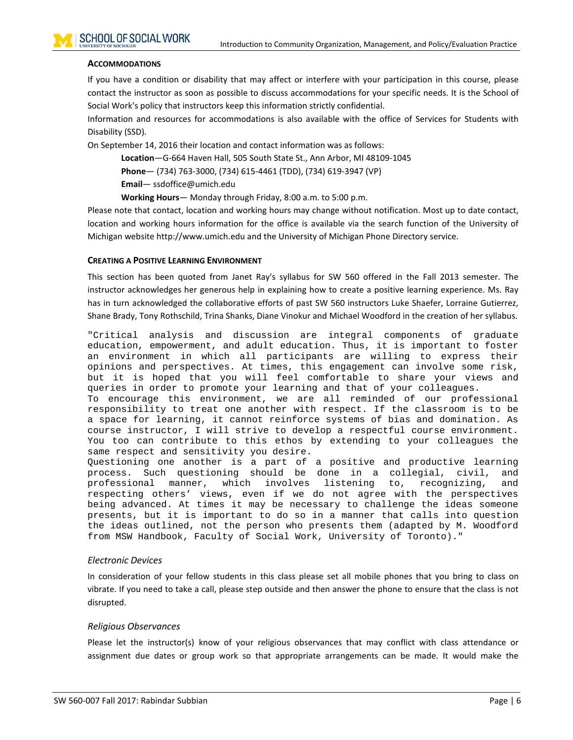### <span id="page-5-0"></span>**ACCOMMODATIONS**

If you have a condition or disability that may affect or interfere with your participation in this course, please contact the instructor as soon as possible to discuss accommodations for your specific needs. It is the School of Social Work's policy that instructors keep this information strictly confidential.

Information and resources for accommodations is also available with the office of Services for Students with Disability (SSD).

On September 14, 2016 their location and contact information was as follows:

**Location**—G-664 Haven Hall, 505 South State St., Ann Arbor, MI 48109-1045

**Phone**— (734) 763-3000, (734) 615-4461 (TDD), (734) 619-3947 (VP)

**Email**— ssdoffice@umich.edu

**Working Hours**— Monday through Friday, 8:00 a.m. to 5:00 p.m.

Please note that contact, location and working hours may change without notification. Most up to date contact, location and working hours information for the office is available via the search function of the University of Michigan website http://www.umich.edu and the University of Michigan Phone Directory service.

#### <span id="page-5-1"></span>**CREATING A POSITIVE LEARNING ENVIRONMENT**

This section has been quoted from Janet Ray's syllabus for SW 560 offered in the Fall 2013 semester. The instructor acknowledges her generous help in explaining how to create a positive learning experience. Ms. Ray has in turn acknowledged the collaborative efforts of past SW 560 instructors Luke Shaefer, Lorraine Gutierrez, Shane Brady, Tony Rothschild, Trina Shanks, Diane Vinokur and Michael Woodford in the creation of her syllabus.

"Critical analysis and discussion are integral components of graduate education, empowerment, and adult education. Thus, it is important to foster an environment in which all participants are willing to express their opinions and perspectives. At times, this engagement can involve some risk, but it is hoped that you will feel comfortable to share your views and queries in order to promote your learning and that of your colleagues. To encourage this environment, we are all reminded of our professional

responsibility to treat one another with respect. If the classroom is to be a space for learning, it cannot reinforce systems of bias and domination. As course instructor, I will strive to develop a respectful course environment. You too can contribute to this ethos by extending to your colleagues the same respect and sensitivity you desire.

Questioning one another is a part of a positive and productive learning<br>process. Such questioning should be done in a collegial, civil, and process. Such questioning should be done in a collegial, civil, and recognizing, respecting others' views, even if we do not agree with the perspectives being advanced. At times it may be necessary to challenge the ideas someone presents, but it is important to do so in a manner that calls into question the ideas outlined, not the person who presents them (adapted by M. Woodford from MSW Handbook, Faculty of Social Work, University of Toronto)."

### *Electronic Devices*

In consideration of your fellow students in this class please set all mobile phones that you bring to class on vibrate. If you need to take a call, please step outside and then answer the phone to ensure that the class is not disrupted.

### *Religious Observances*

Please let the instructor(s) know of your religious observances that may conflict with class attendance or assignment due dates or group work so that appropriate arrangements can be made. It would make the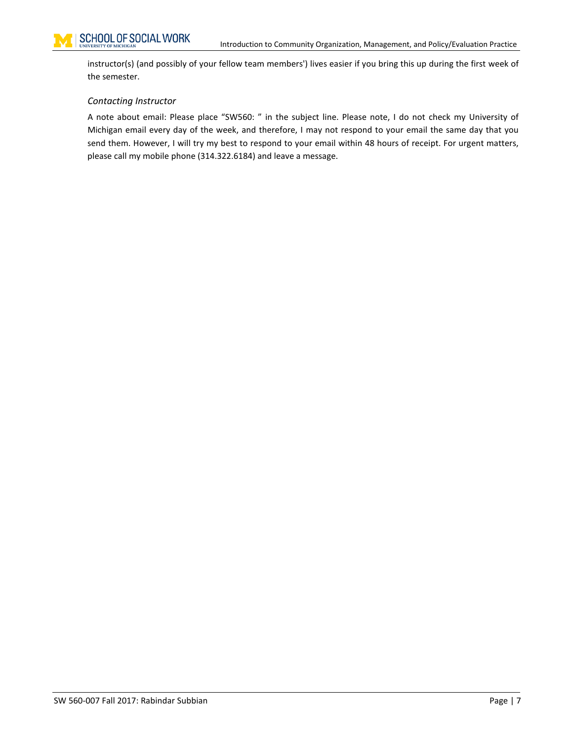instructor(s) (and possibly of your fellow team members') lives easier if you bring this up during the first week of the semester.

### *Contacting Instructor*

A note about email: Please place "SW560: " in the subject line. Please note, I do not check my University of Michigan email every day of the week, and therefore, I may not respond to your email the same day that you send them. However, I will try my best to respond to your email within 48 hours of receipt. For urgent matters, please call my mobile phone (314.322.6184) and leave a message.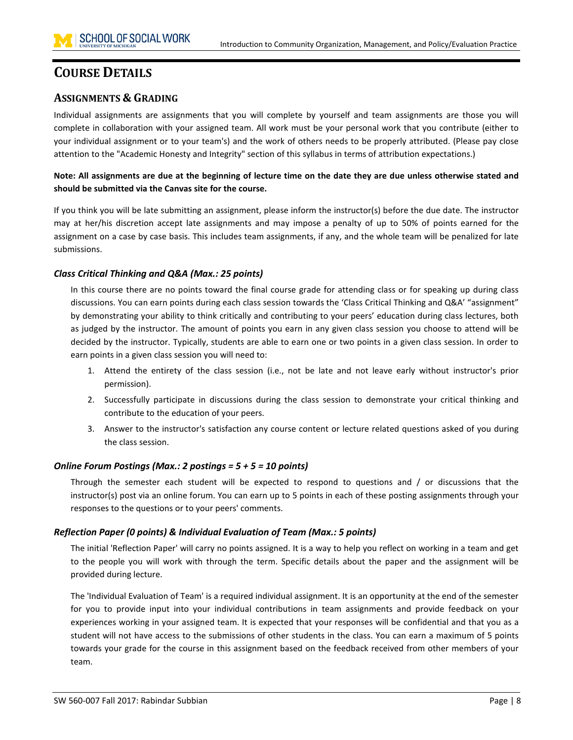# <span id="page-7-0"></span>**COURSE DETAILS**

# <span id="page-7-1"></span>**ASSIGNMENTS & GRADING**

Individual assignments are assignments that you will complete by yourself and team assignments are those you will complete in collaboration with your assigned team. All work must be your personal work that you contribute (either to your individual assignment or to your team's) and the work of others needs to be properly attributed. (Please pay close attention to the "Academic Honesty and Integrity" section of this syllabus in terms of attribution expectations.)

**Note: All assignments are due at the beginning of lecture time on the date they are due unless otherwise stated and should be submitted via the Canvas site for the course.**

If you think you will be late submitting an assignment, please inform the instructor(s) before the due date. The instructor may at her/his discretion accept late assignments and may impose a penalty of up to 50% of points earned for the assignment on a case by case basis. This includes team assignments, if any, and the whole team will be penalized for late submissions.

# *Class Critical Thinking and Q&A (Max.: 25 points)*

In this course there are no points toward the final course grade for attending class or for speaking up during class discussions. You can earn points during each class session towards the 'Class Critical Thinking and Q&A' "assignment" by demonstrating your ability to think critically and contributing to your peers' education during class lectures, both as judged by the instructor. The amount of points you earn in any given class session you choose to attend will be decided by the instructor. Typically, students are able to earn one or two points in a given class session. In order to earn points in a given class session you will need to:

- 1. Attend the entirety of the class session (i.e., not be late and not leave early without instructor's prior permission).
- 2. Successfully participate in discussions during the class session to demonstrate your critical thinking and contribute to the education of your peers.
- 3. Answer to the instructor's satisfaction any course content or lecture related questions asked of you during the class session.

# *Online Forum Postings (Max.: 2 postings = 5 + 5 = 10 points)*

Through the semester each student will be expected to respond to questions and / or discussions that the instructor(s) post via an online forum. You can earn up to 5 points in each of these posting assignments through your responses to the questions or to your peers' comments.

# *Reflection Paper (0 points) & Individual Evaluation of Team (Max.: 5 points)*

The initial 'Reflection Paper' will carry no points assigned. It is a way to help you reflect on working in a team and get to the people you will work with through the term. Specific details about the paper and the assignment will be provided during lecture.

The 'Individual Evaluation of Team' is a required individual assignment. It is an opportunity at the end of the semester for you to provide input into your individual contributions in team assignments and provide feedback on your experiences working in your assigned team. It is expected that your responses will be confidential and that you as a student will not have access to the submissions of other students in the class. You can earn a maximum of 5 points towards your grade for the course in this assignment based on the feedback received from other members of your team.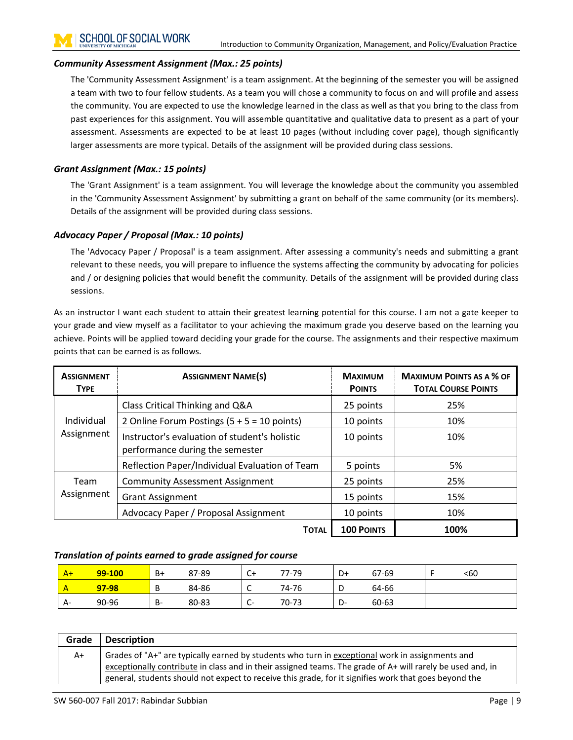### *Community Assessment Assignment (Max.: 25 points)*

The 'Community Assessment Assignment' is a team assignment. At the beginning of the semester you will be assigned a team with two to four fellow students. As a team you will chose a community to focus on and will profile and assess the community. You are expected to use the knowledge learned in the class as well as that you bring to the class from past experiences for this assignment. You will assemble quantitative and qualitative data to present as a part of your assessment. Assessments are expected to be at least 10 pages (without including cover page), though significantly larger assessments are more typical. Details of the assignment will be provided during class sessions.

### *Grant Assignment (Max.: 15 points)*

The 'Grant Assignment' is a team assignment. You will leverage the knowledge about the community you assembled in the 'Community Assessment Assignment' by submitting a grant on behalf of the same community (or its members). Details of the assignment will be provided during class sessions.

### *Advocacy Paper / Proposal (Max.: 10 points)*

The 'Advocacy Paper / Proposal' is a team assignment. After assessing a community's needs and submitting a grant relevant to these needs, you will prepare to influence the systems affecting the community by advocating for policies and / or designing policies that would benefit the community. Details of the assignment will be provided during class sessions.

As an instructor I want each student to attain their greatest learning potential for this course. I am not a gate keeper to your grade and view myself as a facilitator to your achieving the maximum grade you deserve based on the learning you achieve. Points will be applied toward deciding your grade for the course. The assignments and their respective maximum points that can be earned is as follows.

| <b>ASSIGNMENT</b><br><b>TYPE</b> | <b>ASSIGNMENT NAME(S)</b>                                                        | <b>MAXIMUM</b><br><b>POINTS</b> | <b>MAXIMUM POINTS AS A % OF</b><br><b>TOTAL COURSE POINTS</b> |  |
|----------------------------------|----------------------------------------------------------------------------------|---------------------------------|---------------------------------------------------------------|--|
|                                  | Class Critical Thinking and Q&A                                                  | 25 points                       | 25%                                                           |  |
| Individual                       | 2 Online Forum Postings $(5 + 5 = 10 \text{ points})$                            | 10 points                       | 10%                                                           |  |
| Assignment                       | Instructor's evaluation of student's holistic<br>performance during the semester | 10 points                       | 10%                                                           |  |
|                                  | Reflection Paper/Individual Evaluation of Team                                   | 5 points                        | 5%                                                            |  |
| Team                             | <b>Community Assessment Assignment</b>                                           | 25 points                       | 25%                                                           |  |
| Assignment                       | <b>Grant Assignment</b>                                                          | 15 points                       | 15%                                                           |  |
|                                  | Advocacy Paper / Proposal Assignment                                             | 10 points                       | 10%                                                           |  |
|                                  | <b>TOTAL</b>                                                                     | <b>100 POINTS</b>               | 100%                                                          |  |

### *Translation of points earned to grade assigned for course*

| $A+$ | 99-100 | B+ | 87-89 | C+                   | 77-79 | D+       | 67-69 | <60 |
|------|--------|----|-------|----------------------|-------|----------|-------|-----|
|      | 97-98  | D  | 84-86 | -<br>∼               | 74-76 | ◡        | 64-66 |     |
| A-   | 90-96  | B- | 80-83 | ∽<br>. <b>.</b><br>ັ | 70-73 | n<br>− ש | 60-63 |     |

| Grade | <b>Description</b>                                                                                                                                                                                            |
|-------|---------------------------------------------------------------------------------------------------------------------------------------------------------------------------------------------------------------|
| A+    | Grades of "A+" are typically earned by students who turn in exceptional work in assignments and<br>exceptionally contribute in class and in their assigned teams. The grade of A+ will rarely be used and, in |
|       | general, students should not expect to receive this grade, for it signifies work that goes beyond the                                                                                                         |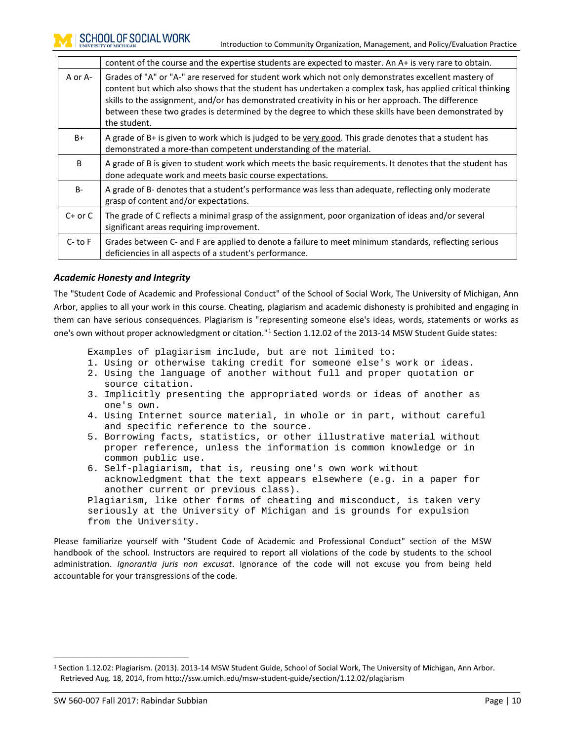|             | content of the course and the expertise students are expected to master. An A+ is very rare to obtain.                                                                                                                                                                                                                                                                                                                                            |  |  |  |  |  |
|-------------|---------------------------------------------------------------------------------------------------------------------------------------------------------------------------------------------------------------------------------------------------------------------------------------------------------------------------------------------------------------------------------------------------------------------------------------------------|--|--|--|--|--|
| A or A-     | Grades of "A" or "A-" are reserved for student work which not only demonstrates excellent mastery of<br>content but which also shows that the student has undertaken a complex task, has applied critical thinking<br>skills to the assignment, and/or has demonstrated creativity in his or her approach. The difference<br>between these two grades is determined by the degree to which these skills have been demonstrated by<br>the student. |  |  |  |  |  |
| B+          | A grade of B+ is given to work which is judged to be very good. This grade denotes that a student has<br>demonstrated a more-than competent understanding of the material.                                                                                                                                                                                                                                                                        |  |  |  |  |  |
| B           | A grade of B is given to student work which meets the basic requirements. It denotes that the student has<br>done adequate work and meets basic course expectations.                                                                                                                                                                                                                                                                              |  |  |  |  |  |
| $B-$        | A grade of B- denotes that a student's performance was less than adequate, reflecting only moderate<br>grasp of content and/or expectations.                                                                                                                                                                                                                                                                                                      |  |  |  |  |  |
| $C+$ or $C$ | The grade of C reflects a minimal grasp of the assignment, poor organization of ideas and/or several<br>significant areas requiring improvement.                                                                                                                                                                                                                                                                                                  |  |  |  |  |  |
| $C-$ to $F$ | Grades between C- and F are applied to denote a failure to meet minimum standards, reflecting serious<br>deficiencies in all aspects of a student's performance.                                                                                                                                                                                                                                                                                  |  |  |  |  |  |

### *Academic Honesty and Integrity*

The "Student Code of Academic and Professional Conduct" of the School of Social Work, The University of Michigan, Ann Arbor, applies to all your work in this course. Cheating, plagiarism and academic dishonesty is prohibited and engaging in them can have serious consequences. Plagiarism is "representing someone else's ideas, words, statements or works as one's own without proper acknowledgment or citation."[1](#page-9-0) Section 1.12.02 of the 2013-14 MSW Student Guide states:

Examples of plagiarism include, but are not limited to:

- 1. Using or otherwise taking credit for someone else's work or ideas.
- 2. Using the language of another without full and proper quotation or source citation.
- 3. Implicitly presenting the appropriated words or ideas of another as one's own.
- 4. Using Internet source material, in whole or in part, without careful and specific reference to the source.
- 5. Borrowing facts, statistics, or other illustrative material without proper reference, unless the information is common knowledge or in common public use.
- 6. Self-plagiarism, that is, reusing one's own work without acknowledgment that the text appears elsewhere (e.g. in a paper for another current or previous class). Plagiarism, like other forms of cheating and misconduct, is taken very

seriously at the University of Michigan and is grounds for expulsion from the University.

Please familiarize yourself with "Student Code of Academic and Professional Conduct" section of the MSW handbook of the school. Instructors are required to report all violations of the code by students to the school administration. *Ignorantia juris non excusat*. Ignorance of the code will not excuse you from being held accountable for your transgressions of the code.

<span id="page-9-0"></span> <sup>1</sup> Section 1.12.02: Plagiarism. (2013). 2013-14 MSW Student Guide, School of Social Work, The University of Michigan, Ann Arbor. Retrieved Aug. 18, 2014, from http://ssw.umich.edu/msw-student-guide/section/1.12.02/plagiarism